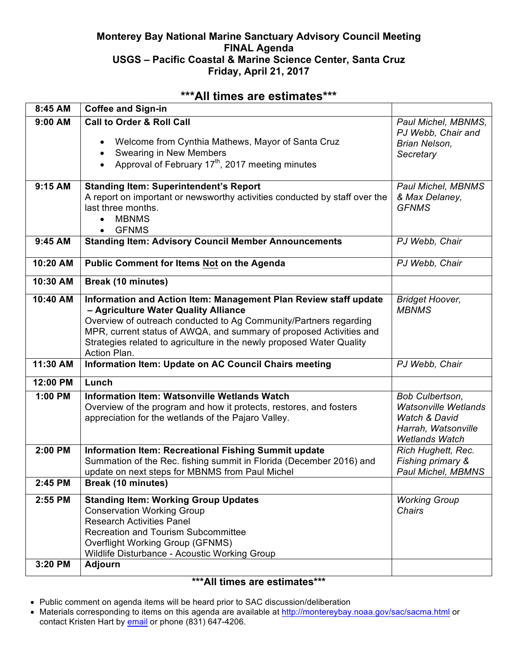## **Monterey Bay National Marine Sanctuary Advisory Council Meeting FINAL Agenda USGS – Pacific Coastal & Marine Science Center, Santa Cruz Friday, April 21, 2017**

# **\*\*\*All times are estimates\*\*\***

| 8:45 AM  | <b>Coffee and Sign-in</b>                                                                                                                                                                                                                                                                                                                     |                                                                                                                            |
|----------|-----------------------------------------------------------------------------------------------------------------------------------------------------------------------------------------------------------------------------------------------------------------------------------------------------------------------------------------------|----------------------------------------------------------------------------------------------------------------------------|
| 9:00 AM  | <b>Call to Order &amp; Roll Call</b><br>Welcome from Cynthia Mathews, Mayor of Santa Cruz<br>$\bullet$<br>Swearing in New Members<br>$\bullet$<br>Approval of February 17 <sup>th</sup> , 2017 meeting minutes<br>$\bullet$                                                                                                                   | Paul Michel, MBNMS,<br>PJ Webb, Chair and<br>Brian Nelson,<br>Secretary                                                    |
| 9:15 AM  | <b>Standing Item: Superintendent's Report</b><br>A report on important or newsworthy activities conducted by staff over the<br>last three months.<br><b>MBNMS</b><br>$\bullet$<br><b>GFNMS</b><br>$\bullet$                                                                                                                                   | Paul Michel, MBNMS<br>& Max Delaney,<br><b>GFNMS</b>                                                                       |
| 9:45 AM  | <b>Standing Item: Advisory Council Member Announcements</b>                                                                                                                                                                                                                                                                                   | PJ Webb, Chair                                                                                                             |
| 10:20 AM | <b>Public Comment for Items Not on the Agenda</b>                                                                                                                                                                                                                                                                                             | PJ Webb, Chair                                                                                                             |
| 10:30 AM | <b>Break (10 minutes)</b>                                                                                                                                                                                                                                                                                                                     |                                                                                                                            |
| 10:40 AM | Information and Action Item: Management Plan Review staff update<br>- Agriculture Water Quality Alliance<br>Overview of outreach conducted to Ag Community/Partners regarding<br>MPR, current status of AWQA, and summary of proposed Activities and<br>Strategies related to agriculture in the newly proposed Water Quality<br>Action Plan. | <b>Bridget Hoover,</b><br><b>MBNMS</b>                                                                                     |
| 11:30 AM | Information Item: Update on AC Council Chairs meeting                                                                                                                                                                                                                                                                                         | PJ Webb, Chair                                                                                                             |
| 12:00 PM | Lunch                                                                                                                                                                                                                                                                                                                                         |                                                                                                                            |
| 1:00 PM  | <b>Information Item: Watsonville Wetlands Watch</b><br>Overview of the program and how it protects, restores, and fosters<br>appreciation for the wetlands of the Pajaro Valley.                                                                                                                                                              | Bob Culbertson,<br><b>Watsonville Wetlands</b><br><b>Watch &amp; David</b><br>Harrah, Watsonville<br><b>Wetlands Watch</b> |
| 2:00 PM  | Information Item: Recreational Fishing Summit update<br>Summation of the Rec. fishing summit in Florida (December 2016) and<br>update on next steps for MBNMS from Paul Michel                                                                                                                                                                | Rich Hughett, Rec.<br>Fishing primary &<br>Paul Michel, MBMNS                                                              |
| 2:45 PM  | Break (10 minutes)                                                                                                                                                                                                                                                                                                                            |                                                                                                                            |
| 2:55 PM  | <b>Standing Item: Working Group Updates</b><br><b>Conservation Working Group</b><br><b>Research Activities Panel</b><br><b>Recreation and Tourism Subcommittee</b><br><b>Overflight Working Group (GFNMS)</b><br>Wildlife Disturbance - Acoustic Working Group                                                                                | <b>Working Group</b><br>Chairs                                                                                             |
| 3:20 PM  | <b>Adjourn</b>                                                                                                                                                                                                                                                                                                                                |                                                                                                                            |

## **\*\*\*All times are estimates\*\*\***

- Public comment on agenda items will be heard prior to SAC discussion/deliberation
- Materials corresponding to items on this agenda are available at http://montereybay.noaa.gov/sac/sacma.html or contact Kristen Hart by email or phone (831) 647-4206.